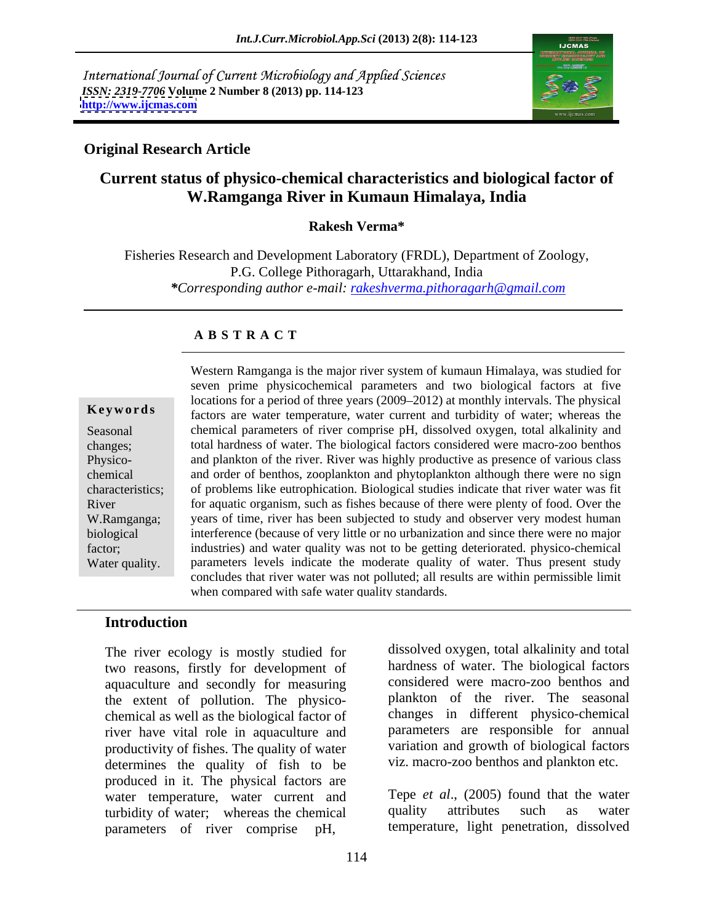International Journal of Current Microbiology and Applied Sciences *ISSN: 2319-7706* **Volume 2 Number 8 (2013) pp. 114-123 <http://www.ijcmas.com>**



### **Original Research Article**

# **Current status of physico-chemical characteristics and biological factor of W.Ramganga River in Kumaun Himalaya, India**

**Rakesh Verma\***

Fisheries Research and Development Laboratory (FRDL), Department of Zoology, P.G. College Pithoragarh, Uttarakhand, India *\*Corresponding author e-mail: rakeshverma.pithoragarh@gmail.com*

### **A B S T R A C T**

**Keywords** factors are water temperature, water current and turbidity of water; whereas the Seasonal chemical parameters of river comprise pH, dissolved oxygen, total alkalinity and changes; total hardness of water. The biological factors considered were macro-zoo benthos Physico- and plankton of the river. River was highly productive as presence of various class chemical and order of benthos, zooplankton and phytoplankton although there were no sign characteristics; of problems like eutrophication. Biological studies indicate that river water was fit River for aquatic organism, such as fishes because of there were plenty of food. Over the W.Ramganga; years of time, river has been subjected to study and observer very modest human biological interference (because of very little or no urbanization and since there were no major factor; industries) and water quality was not to be getting deteriorated. physico-chemical Water quality. parameters levels indicate the moderate quality of water. Thus present study Western Ramganga is the major river system of kumaun Himalaya, was studied for seven prime physicochemical parameters and two biological factors at five locations for a period of three years (2009–2012) at monthly intervals. The physical concludes that river water was not polluted; all results are within permissible limit when compared with safe water quality standards.

### **Introduction**

The river ecology is mostly studied for two reasons, firstly for development of aquaculture and secondly for measuring the extent of pollution. The physico chemical as well as the biological factor of river have vital role in aquaculture and productivity of fishes. The quality of water determines the quality of fish to be produced in it. The physical factors are water temperature, water current and Tepe *et al.*, (2005) found that the water<br>turbidity of water: whereas the chemical quality attributes such as water turbidity of water; whereas the chemical parameters of river comprise pH,

dissolved oxygen, total alkalinity and total hardness of water. The biological factors considered were macro-zoo benthos and plankton of the river. The seasonal changes in different physico-chemical parameters are responsible for annual variation and growth of biological factors viz. macro-zoo benthos and plankton etc.

Tepe *et al*., (2005) found that the water quality attributes such as water temperature, light penetration, dissolved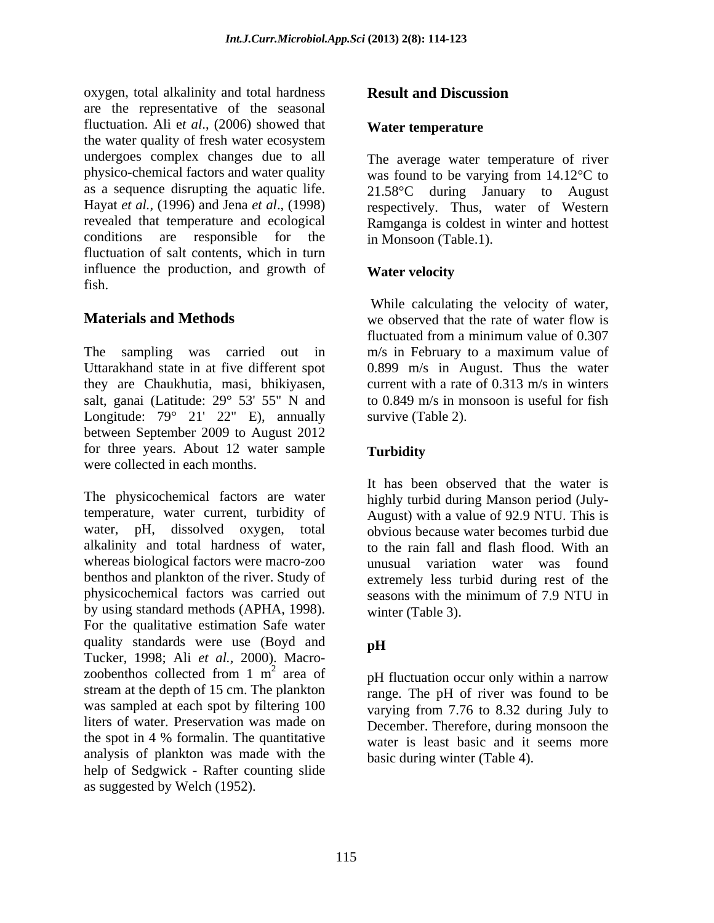oxygen, total alkalinity and total hardness **Result and Discussion** are the representative of the seasonal fluctuation. Ali e*t al*., (2006) showed that the water quality of fresh water ecosystem undergoes complex changes due to all physico-chemical factors and water quality was found to be varying from 14.12°C to as a sequence disrupting the aquatic life.  $21.58^{\circ}$ C during January to August Hayat *et al.,* (1996) and Jena *et al*., (1998) respectively. Thus, water of Western revealed that temperature and ecological Ramganga is coldest in winter and hottest conditions are responsible for the in Monsoon (Table.1). fluctuation of salt contents, which in turn influence the production, and growth of **Water velocity** fish.

The sampling was carried out in m/s in February to a maximum value of Uttarakhand state in at five different spot 0.899 m/s in August. Thus the water they are Chaukhutia, masi, bhikiyasen, salt, ganai (Latitude: 29° 53' 55" N and Longitude: 79° 21′ 22″ E), annually survive (Table 2). between September 2009 to August 2012 for three years. About 12 water sample Turbidity were collected in each months.

The physicochemical factors are water highly turbid during Manson period (July temperature, water current, turbidity of August) with a value of 92.9 NTU. This is water, pH, dissolved oxygen, total obvious because water becomes turbid due alkalinity and total hardness of water, whereas biological factors were macro-zoo benthos and plankton of the river. Study of physicochemical factors was carried out seasons with the minimum of 7.9 NTU in by using standard methods (APHA, 1998). For the qualitative estimation Safe water quality standards were use (Boyd and  $pH$ Tucker, 1998; Ali *et al.,*2000). Macro zoobenthos collected from 1  $m<sup>2</sup>$  area of stream at the depth of 15 cm. The plankton was sampled at each spot by filtering 100 liters of water. Preservation was made on December. Therefore, during monsoon the the spot in 4 % formalin. The quantitative  $\frac{1}{\sqrt{2\pi}}$  water is least basic and it seems more analysis of plankton was made with the help of Sedgwick - Rafter counting slide oxygen, total alkining and total heather suggest and Discussion<br>the water quality of red  $at$ . (2006) showed that we can be very suggested by the control of the control of the second of the second of the second of the secon

### **Water temperature**

The average water temperature of river in Monsoon (Table.1).

### **Water velocity**

**Materials and Methods** by the second we observed that the rate of water flow is While calculating the velocity of water, we observed that the rate of water flow is fluctuated from a minimum value of 0.307 current with a rate of 0.313 m/s in winters to 0.849 m/s in monsoon is useful for fish survive (Table 2).

### **Turbidity**

It has been observed that the water is to the rain fall and flash flood. With an unusual variation water was found extremely less turbid during rest of the winter (Table 3).

## **pH**

 $\frac{2}{2}$  area of  $\overline{z}$  are  $\overline{z}$  are  $\overline{z}$  are  $\overline{z}$  are  $\overline{z}$  are  $\overline{z}$  are  $\overline{z}$  are  $\overline{z}$  are  $\overline{z}$  are  $\overline{z}$  are  $\overline{z}$  are  $\overline{z}$  are  $\overline{z}$  are  $\overline{z}$  are  $\overline{z}$  are  $\overline{z}$ area of pH fluctuation occur only within a narrow range. The pH of river was found to be varying from 7.76 to 8.32 during July to water is least basic and it seems more basic during winter (Table 4).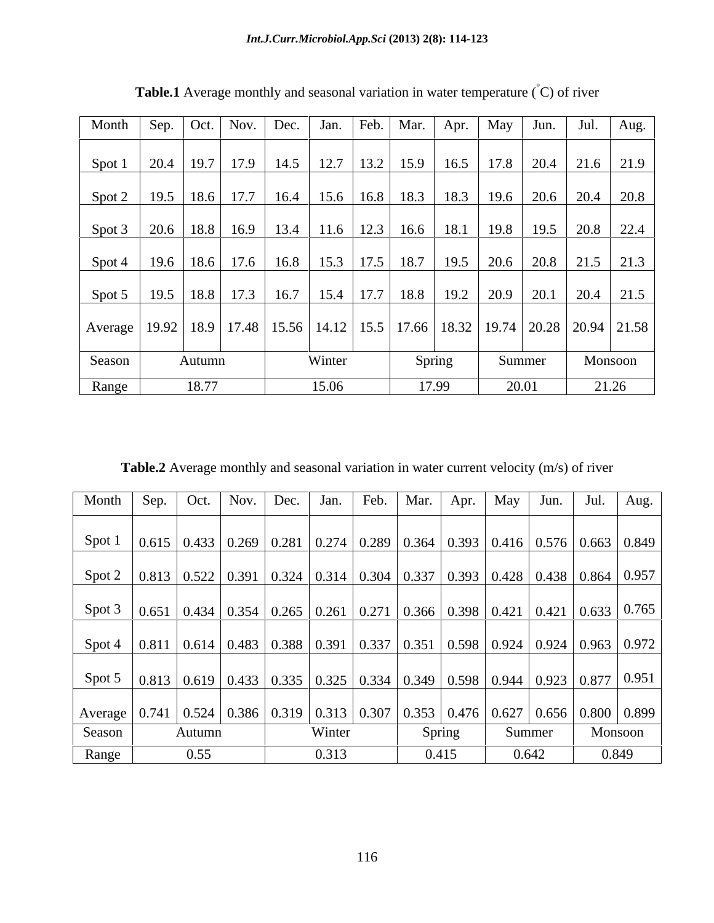| Month   Sep.   Oct.   Nov.   Dec.   Jan.   Feb.   Mar.                                                |                           |        |                      |      |        |  | Apr.                                    | May | Jun.                                                                              | Jul. | Aug.                                                  |
|-------------------------------------------------------------------------------------------------------|---------------------------|--------|----------------------|------|--------|--|-----------------------------------------|-----|-----------------------------------------------------------------------------------|------|-------------------------------------------------------|
|                                                                                                       |                           |        |                      |      |        |  |                                         |     |                                                                                   |      |                                                       |
| Spot 1                                                                                                | 20.4   19.7   17.9   14.5 |        |                      |      |        |  |                                         |     |                                                                                   |      | 12.7   13.2   15.9   16.5   17.8   20.4   21.6   21.9 |
| Spot 2                                                                                                |                           |        | $19.5$   18.6   17.7 | 16.4 |        |  |                                         |     | 15.6   16.8   18.3   18.3   19.6   20.6   20.4   20.8                             |      |                                                       |
|                                                                                                       |                           |        |                      |      |        |  |                                         |     |                                                                                   |      |                                                       |
| Spot 3                                                                                                |                           |        |                      |      |        |  |                                         |     | 20.6   18.8   16.9   13.4   11.6   12.3   16.6   18.1   19.8   19.5   20.8   22.4 |      |                                                       |
| Spot 4                                                                                                |                           |        | $19.6$   18.6   17.6 |      |        |  |                                         |     | $\vert$ 16.8   15.3   17.5   18.7   19.5   20.6   20.8   21.5   21.3              |      |                                                       |
|                                                                                                       |                           |        |                      |      |        |  |                                         |     |                                                                                   |      |                                                       |
| Spot 5                                                                                                |                           |        | $19.5$   18.8   17.3 | 16.7 |        |  | 15.4   17.7   18.8   19.2   20.9   20.1 |     |                                                                                   | 20.4 | 21.5                                                  |
| Average   19.92   18.9   17.48   15.56   14.12   15.5   17.66   18.32   19.74   20.28   20.94   21.58 |                           |        |                      |      |        |  |                                         |     |                                                                                   |      |                                                       |
|                                                                                                       |                           |        |                      |      |        |  |                                         |     |                                                                                   |      |                                                       |
| Season                                                                                                |                           | Autumn |                      |      | Winter |  | Spring                                  |     | Summer                                                                            |      | Monsoon                                               |
| Range                                                                                                 |                           | 18.77  |                      |      | 15.06  |  | 17.99                                   |     | 20.01                                                                             |      | 21.26                                                 |

**Table.1** Average monthly and seasonal variation in water temperature (°C) of river

**Table.2** Average monthly and seasonal variation in water current velocity (m/s) of river

| Month                                                                                                   | Sep. Oct. | $\vert$ Nov. $\vert$ Dec. $\vert$ | Jan.   | Feb. | Mar. | Apr.   | May | Jun.   | Aug.                                                                                                                                                                            |
|---------------------------------------------------------------------------------------------------------|-----------|-----------------------------------|--------|------|------|--------|-----|--------|---------------------------------------------------------------------------------------------------------------------------------------------------------------------------------|
|                                                                                                         |           |                                   |        |      |      |        |     |        |                                                                                                                                                                                 |
| Spot 1                                                                                                  |           |                                   |        |      |      |        |     |        | $\vert 0.615 \vert 0.433 \vert 0.269 \vert 0.281 \vert 0.274 \vert 0.289 \vert 0.364 \vert 0.393 \vert 0.416 \vert 0.576 \vert 0.663 \vert 0.849 \vert$                         |
| Spot 2   0.813   0.522   0.391   0.324   0.314   0.304   0.337   0.393   0.428   0.438   0.864   0.957  |           |                                   |        |      |      |        |     |        |                                                                                                                                                                                 |
| Spot 3                                                                                                  |           |                                   |        |      |      |        |     |        | $\vert 0.651 \vert 0.434 \vert 0.354 \vert 0.265 \vert 0.261 \vert 0.271 \vert 0.366 \vert 0.398 \vert 0.421 \vert 0.421 \vert 0.633 \vert 0.765 \vert$                         |
| Spot 4                                                                                                  |           |                                   |        |      |      |        |     |        | $\vert$ 0.811 $\vert$ 0.614 $\vert$ 0.483 $\vert$ 0.388 $\vert$ 0.391 $\vert$ 0.337 $\vert$ 0.351 $\vert$ 0.598 $\vert$ 0.924 $\vert$ 0.924 $\vert$ 0.963 $\vert$ 0.972 $\vert$ |
| Spot 5                                                                                                  |           |                                   |        |      |      |        |     |        | $\mid 0.813 \mid 0.619 \mid 0.433 \mid 0.335 \mid 0.325 \mid 0.334 \mid 0.349 \mid 0.598 \mid 0.944 \mid 0.923 \mid 0.877 \mid 0.951 \mid$                                      |
| Average   0.741   0.524   0.386   0.319   0.313   0.307   0.353   0.476   0.627   0.656   0.800   0.899 |           |                                   |        |      |      |        |     |        |                                                                                                                                                                                 |
| Season                                                                                                  | Autumn    |                                   | Winter |      |      | Spring |     | Summer | Monsoon                                                                                                                                                                         |
| Range                                                                                                   | 0.55      |                                   | 0.313  |      |      | 0.415  |     | 0.642  | 0.849                                                                                                                                                                           |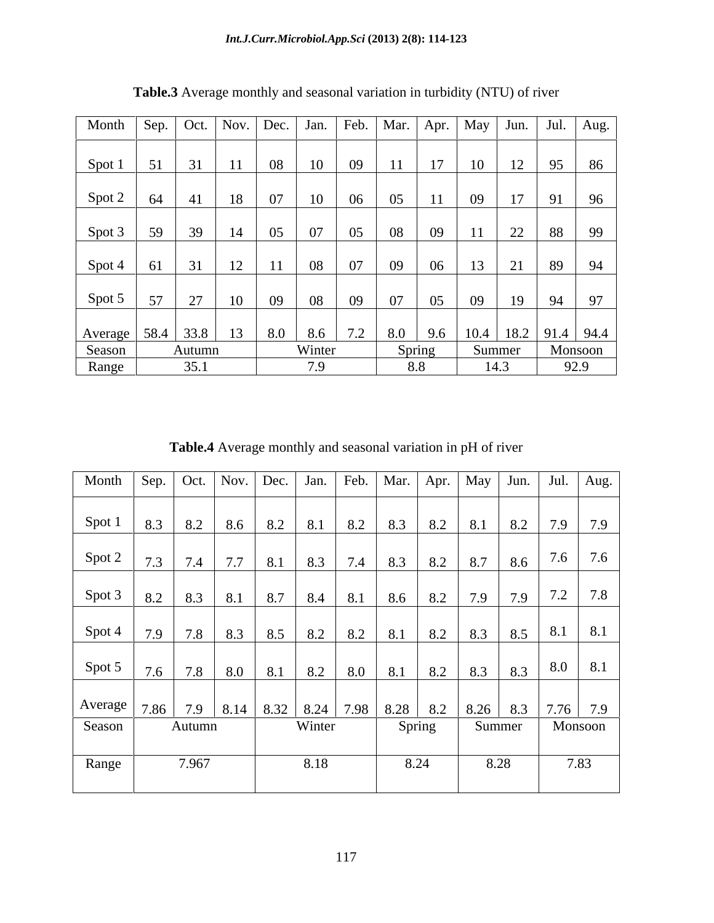| Month             |    |                | Sep.   Oct.   Nov.   Dec.   Jan.   Feb.   Mar.   Apr. |     |        |     |     |        |    | $\vert$ May $\vert$ Jun. $\vert$ Jul. $\vert$ Aug. |    |                |
|-------------------|----|----------------|-------------------------------------------------------|-----|--------|-----|-----|--------|----|----------------------------------------------------|----|----------------|
|                   |    |                |                                                       |     |        |     |     |        |    |                                                    |    |                |
| Spot 1            | 51 | 31             | 11                                                    | 08  | 10     | 09  | 11  | 17     | 10 | 12                                                 | 95 | 86             |
|                   |    |                |                                                       |     |        |     |     |        |    |                                                    |    |                |
| Spot 2            | 64 | 41             | 18                                                    | 07  | 10     | 06  | 05  | 11     | 09 | 17                                                 | 91 | 96             |
|                   |    |                |                                                       |     |        |     |     |        |    |                                                    |    |                |
| Spot 3            | 59 | 39             | 14                                                    | 05  | 07     | 05  | 08  | 09     | 11 | 22                                                 | 88 | $\frac{99}{2}$ |
|                   |    |                |                                                       |     |        |     |     |        |    |                                                    |    |                |
| Spot 4            | 61 | $\frac{31}{1}$ | 12                                                    | 11  | 08     | 07  | 09  | 06     | 13 | 21                                                 | 89 | 94             |
|                   |    |                |                                                       |     |        |     |     |        |    |                                                    |    |                |
| Spot 5            | 57 | 27             | 10                                                    | 09  | 08     | 09  | 07  | 05     | 09 | 19                                                 | 94 | 97             |
|                   |    |                |                                                       |     |        |     |     |        |    |                                                    |    |                |
| Average 58.4 33.8 |    |                | 13                                                    | 8.0 | 8.6    | 7.2 | 8.0 | 9.6    |    | $10.4$   18.2   91.4   94.4                        |    |                |
| Season            |    | Autumn         |                                                       |     | Winter |     |     | Spring |    | Summer                                             |    | Monsoon        |
| Range             |    | 35.1           |                                                       |     | 7.9    |     |     | 8.8    |    | 14.3                                               |    | 92.9           |

**Table.3** Average monthly and seasonal variation in turbidity (NTU) of river

**Table.4** Average monthly and seasonal variation in pH of river

| Month   Sep.   Oct.   Nov.   Dec.   Jan.   Feb.   Mar.   Apr.   May   Jun.   Jul.   Aug. |     |        |     |     |        |     |           |     |      |                                                                                       |         |           |
|------------------------------------------------------------------------------------------|-----|--------|-----|-----|--------|-----|-----------|-----|------|---------------------------------------------------------------------------------------|---------|-----------|
| Spot 1                                                                                   | 8.3 | 8.2    | 8.6 | 8.2 | 8.1    | 8.2 | 8.3       | 8.2 |      | $8.1$ 8.2 7.9 7.9                                                                     |         |           |
| Spot 2                                                                                   | 7.3 | 7.4    | 7.7 | 8.1 | 8.3    | 7.4 | 8.3       | 8.2 |      | $8.7$ 8.6                                                                             |         | $7.6$ 7.6 |
| Spot 3                                                                                   | 8.2 | 8.3    | 8.1 | 8.7 | 8.4    | 8.1 | $8.6$ 8.2 |     |      | $\begin{array}{ c c c c c } \hline 7.9 & 7.9 \\ \hline \end{array}$                   |         | $7.2$ 7.8 |
| Spot 4                                                                                   | 7.9 | 7.8    | 8.3 | 8.5 | 8.2    | 8.2 | 8.1       | 8.2 |      | $18.3$ 8.5 8.1                                                                        |         | 8.1       |
| Spot 5                                                                                   | 7.6 | 7.8    | 8.0 | 8.1 | 8.2    | 8.0 | $8.1$ 8.2 |     |      | $\begin{array}{ c c c c c c c c } \hline 8.3 & 8.3 & 8.0 & 8.1 \\ \hline \end{array}$ |         |           |
| Average   7.86   7.9   8.14   8.32   8.24   7.98   8.28   8.2   8.26   8.3   7.76   7.9  |     |        |     |     |        |     |           |     |      |                                                                                       |         |           |
| Season                                                                                   |     | Autumn |     |     | Winter |     | Spring    |     |      | Summer                                                                                | Monsoon |           |
| Range                                                                                    |     | 7.967  |     |     | 8.18   |     | 8.24      |     | 8.28 |                                                                                       | 7.83    |           |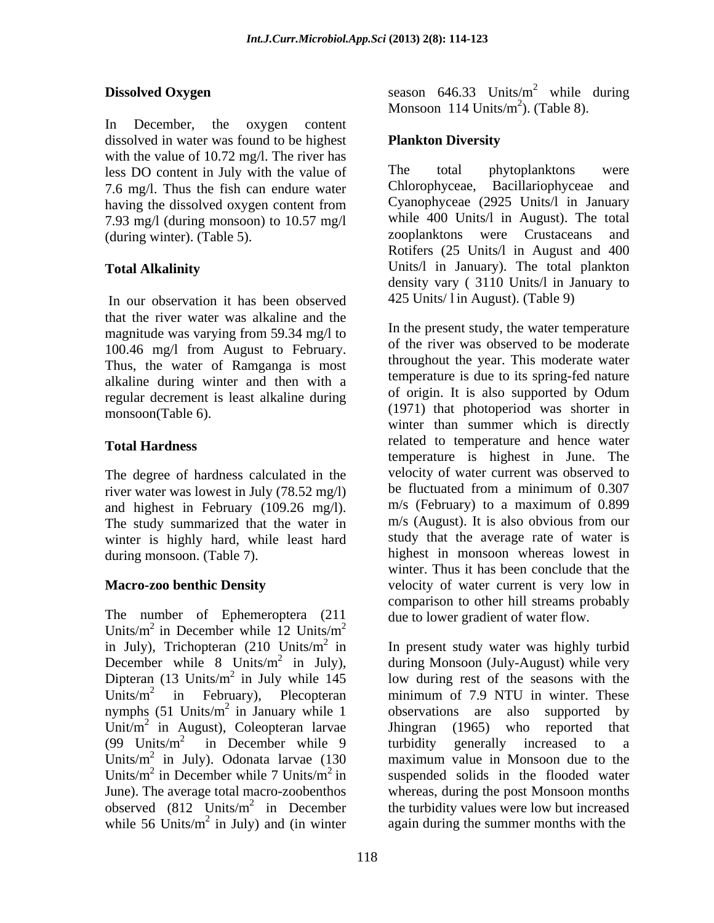In December, the oxygen content dissolved in water was found to be highest Plankton Diversity with the value of 10.72 mg/l. The river has<br>less DO content in July with the value of The total phytoplanktons less DO content in July with the value of The total phytoplanktons were<br>7.6 mg/l. Thus the fish can endure water Chlorophyceae, Bacillariophyceae and 7.6 mg/l. Thus the fish can endure water having the dissolved oxygen content from 7.93 mg/l (during monsoon) to 10.57 mg/l while 400 Units/l in August). The total<br>(during winter) (Table 5) (Table 5)

In our observation it has been observed that the river water was alkaline and the magnitude was varying from 59.34 mg/l to 100.46 mg/l from August to February. Thus, the water of Ramganga is most alkaline during winter and then with a<br>regular decrement is least alkaline during of origin. It is also supported by Odum regular decrement is least alkaline during

The degree of hardness calculated in the velocity of water current was observed to<br>river water was lowest in July (78.52 mg/) be fluctuated from a minimum of 0.307 river water was lowest in July (78.52 mg/l) and highest in February (109.26 mg/l).  $m/s$  (February) to a maximum of 0.899<br>The study summarized that the water in  $m/s$  (August). It is also obvious from our The study summarized that the water in winter is highly hard, while least hard

The number of Ephemeroptera (211 Units/ $m^2$  in December while  $12$  Units/ $m^2$ in July), Trichopteran (210 Units/ $m^2$  in December while  $8 \text{ Units/m}^2$  in July), nymphs  $(51 \text{ Units/m}^2 \text{ in January while } 1)$ Units/ $m^2$  in July). Odonata larvae (130 Units/m<sup>2</sup> in December while 7 Units/m<sup>2</sup> in while 56 Units/ $m^2$  in July) and (in winter

**Dissolved Oxygen** season 646.33 Units/m  $^2$  while during while during Monsoon  $114$  Units/m<sup>2</sup>). (Table 8).  $^{2}$  (Table 8) ). (Table 8).

## **Plankton Diversity**

(during winter). (Table 5). zooplanktons were Crustaceans and **Total Alkalinity** Units/l in January). The total plankton The total phytoplanktons were Chlorophyceae, Bacillariophyceae and Cyanophyceae (2925 Units/l in January while 400 Units/l in August). The total Rotifers (25 Units/l in August and 400 density vary ( 3110 Units/l in January to 425 Units/ l in August). (Table 9)

monsoon(Table 6). (1971) that photoperiod was shorter in **Total Hardness** related to temperature and hence water during monsoon. (Table 7). highest in monsoon whereas lowest in **Macro-zoo benthic Density** velocity of water current is very low in  $2^{2}$ In the present study, the water temperature of the river was observed to be moderate throughout the year. This moderate water temperature is due to its spring-fed nature of origin. It is also supported by Odum winter than summer which is directly temperature is highest in June. The velocity of water current was observed to be fluctuated from a minimum of 0.307 m/s (February) to a maximum of 0.899 m/s (August). It is also obvious from our study that the average rate of water is winter. Thus it has been conclude that the comparison to other hill streams probably due to lower gradient of water flow.

<sup>2</sup> in In present study water was highly turbid <sup>2</sup> in July), during Monsoon (July-August) while very Dipteran (13 Units/ $m^2$  in July while 145 low during rest of the seasons with the Units/ $m^2$  in February), Plecopteran minimum of 7.9 NTU in winter. These <sup>2</sup> in January while 1 observations are also supported by Unit/ $m^2$  in August), Coleopteran larvae Jhingran (1965) who reported that (99 Units/ $m^2$  in December while 9 turbidity generally increased to a maximum value in Monsoon due to the in December while 7 Units/ $m^2$  in suspended solids in the flooded water June). The average total macro-zoobenthos whereas, during the post Monsoon months observed  $(812 \text{ Units/m}^2 \text{ in December}$  the turbidity values were low but increased  $2$  in July) and (in winter again during the summer months with the Jhingran (1965) who reported that turbidity generally increased to a maximum value in Monsoon due to the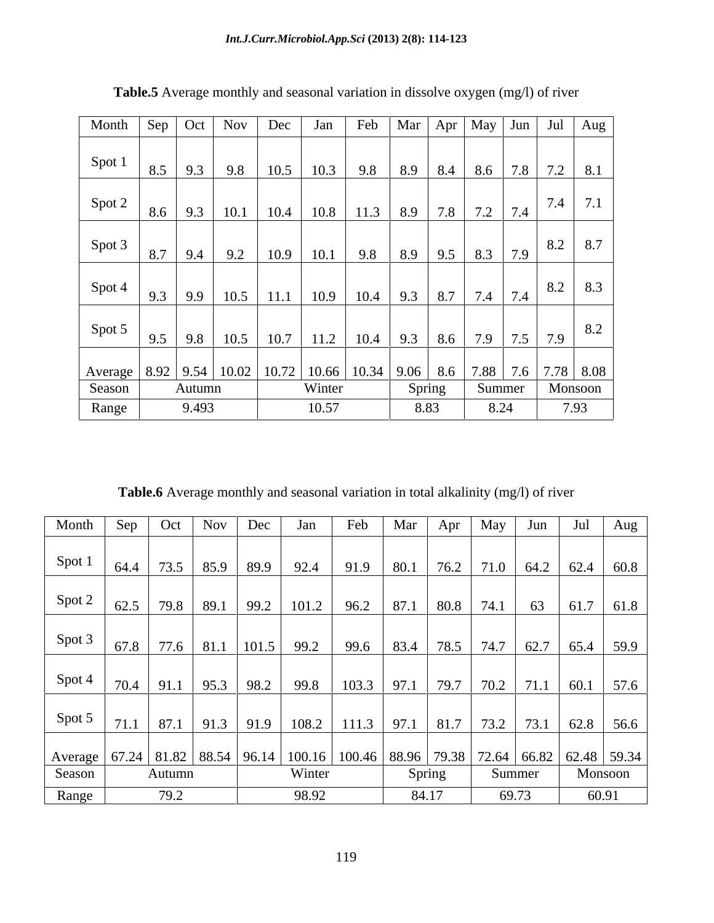| Month $\left  \text{Sep} \right $ Oct $\left  \text{Nov} \right $                             |     |                    |            | Dec          | Jan    |                                |                             |           |           | Feb   Mar   Apr   May   Jun   Jul   Aug |
|-----------------------------------------------------------------------------------------------|-----|--------------------|------------|--------------|--------|--------------------------------|-----------------------------|-----------|-----------|-----------------------------------------|
| Spot 1                                                                                        |     |                    |            |              |        |                                |                             |           |           |                                         |
|                                                                                               | 8.5 | 9.3                | 9.8        | 10.5         | 10.3   |                                |                             |           |           | 9.8   8.9   8.4   8.6   7.8   7.2   8.1 |
| Spot 2                                                                                        |     | $8.6$   9.3   10.1 |            | 10.4         | 10.8   | $11.3$   8.9   7.8             |                             | $7.2$ 7.4 |           | 71<br>7.4<br>$\overline{\phantom{a}}$   |
| Spot 3                                                                                        | 8.7 | 9.4                | 9.2        | 10.9         | 10.1   | 9.8                            | $\frac{1}{8.9}$ 9.5 8.3 7.9 |           |           | 8.7<br>8.2                              |
| Spot 4                                                                                        | 9.3 | 9.9                | 10.5       | $\vert$ 11.1 | 10.9   | $10.4$   9.3   8.7   7.4   7.4 |                             |           |           | 8.3<br>8.2                              |
| Spot 5                                                                                        | 9.5 |                    | $9.8$ 10.5 | 10.7         | 11.2   |                                | $10.4$   9.3   8.6          | 7.9       | $7.5$ 7.9 | 8.2                                     |
| Average   8.92   9.54   10.02   10.72   10.66   10.34   9.06   8.6   7.88   7.6   7.78   8.08 |     |                    |            |              |        |                                |                             |           |           |                                         |
| Season                                                                                        |     | Autumn             |            |              | Winter |                                | Spring                      | Summer    |           | Monsoon                                 |
| Range                                                                                         |     | 9.493              |            |              | 10.57  |                                | 8.83                        | 8.24      |           | 7.93                                    |

**Table.5** Average monthly and seasonal variation in dissolve oxygen (mg/l) of river

**Table.6** Average monthly and seasonal variation in total alkalinity (mg/l) of river

| Month                                                                                                     | Sep | Oct    | <b>Nov</b> | Dec | Jan                                                                                 | Feb                                               | Mar | Apr    | May    | Jun | Jul     | Aug |
|-----------------------------------------------------------------------------------------------------------|-----|--------|------------|-----|-------------------------------------------------------------------------------------|---------------------------------------------------|-----|--------|--------|-----|---------|-----|
| Spot 1                                                                                                    |     |        |            |     |                                                                                     |                                                   |     |        |        |     |         |     |
|                                                                                                           |     |        |            |     | $64.4$   73.5   85.9   89.9   92.4   91.9   80.1   76.2   71.0   64.2   62.4   60.8 |                                                   |     |        |        |     |         |     |
| Spot 2                                                                                                    |     |        |            |     | $62.5$   79.8   89.1   99.2   101.2   96.2   87.1   80.8   74.1   63   61.7   61.8  |                                                   |     |        |        |     |         |     |
| Spot 3                                                                                                    |     |        |            |     | 67.8   77.6   81.1   101.5   99.2   99.6   83.4   78.5   74.7   62.7   65.4   59.9  |                                                   |     |        |        |     |         |     |
| Spot 4                                                                                                    |     |        |            |     | 70.4   91.1   95.3   98.2   99.8                                                    | $103.3$   97.1   79.7   70.2   71.1   60.1   57.6 |     |        |        |     |         |     |
| Spot 5                                                                                                    |     |        |            |     |                                                                                     |                                                   |     |        |        |     |         |     |
| Average   67.24   81.82   88.54   96.14   100.16   100.46   88.96   79.38   72.64   66.82   62.48   59.34 |     |        |            |     |                                                                                     |                                                   |     |        |        |     |         |     |
| Season                                                                                                    |     | Autumn |            |     | Winter                                                                              |                                                   |     | Spring | Summer |     | Monsoon |     |
| Range                                                                                                     |     | 79.2   |            |     | 98.92                                                                               |                                                   |     | 84.17  | 69.73  |     | 60.91   |     |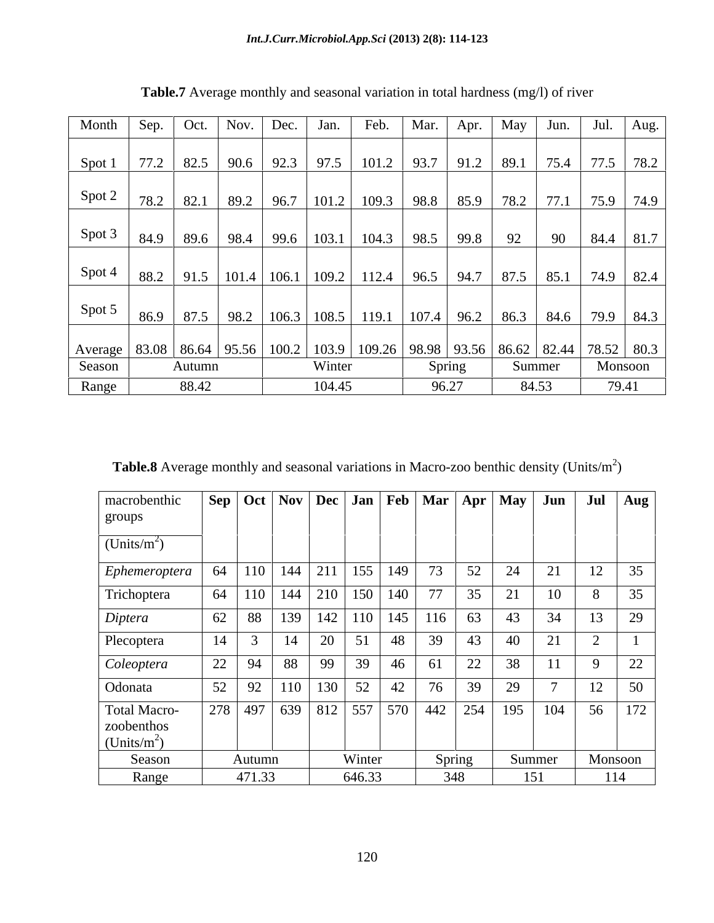| Month  | Sep.                                                                                                    | Oct.   | Nov. | Dec. | Jan.   | Feb.                                                                                    | Mar. | Apr.   | May | Jun.   | Jul.               | Aug.    |
|--------|---------------------------------------------------------------------------------------------------------|--------|------|------|--------|-----------------------------------------------------------------------------------------|------|--------|-----|--------|--------------------|---------|
|        |                                                                                                         |        |      |      |        |                                                                                         |      |        |     |        |                    |         |
|        | Spot 1   77.2   82.5   90.6   92.3   97.5   101.2   93.7   91.2   89.1                                  |        |      |      |        |                                                                                         |      |        |     |        | 75.4   77.5   78.2 |         |
| Spot 2 |                                                                                                         |        |      |      |        |                                                                                         |      |        |     |        |                    |         |
|        | 78.2                                                                                                    | 82.1   |      |      |        |                                                                                         |      |        |     |        |                    |         |
| Spot 3 |                                                                                                         |        |      |      |        | 84.9   89.6   98.4   99.6   103.1   104.3   98.5   99.8   92                            |      |        |     |        | 90   84.4   81.7   |         |
|        |                                                                                                         |        |      |      |        |                                                                                         |      |        |     |        |                    |         |
| Spot 4 |                                                                                                         |        |      |      |        | 88.2   91.5   101.4   106.1   109.2   112.4   96.5   94.7   87.5   85.1   74.9   82.4   |      |        |     |        |                    |         |
| Spot 5 | 86.9                                                                                                    |        |      |      |        | 87.5   98.2   106.3   108.5   <u>119.1   107.4   96.2   86.3   84.6   79.9   84.3  </u> |      |        |     |        |                    |         |
|        | Average   83.08   86.64   95.56   100.2   103.9   109.26   98.98   93.56   86.62   82.44   78.52   80.3 |        |      |      |        |                                                                                         |      |        |     |        |                    |         |
| Season |                                                                                                         | Autumn |      |      | Winter |                                                                                         |      | Spring |     | Summer |                    | Monsoon |
| Range  |                                                                                                         | 88.42  |      |      | 104.45 |                                                                                         |      | 96.27  |     | 84.53  |                    | 79.41   |

**Table.7** Average monthly and seasonal variation in total hardness (mg/l) of river

**Table.8** Average monthly and seasonal variations in Macro-zoo benthic density (Units/ $m<sup>2</sup>$ )  $)$ 

| macrobenthic                                          |    |        |                      |              | Sep   Oct   Nov   Dec   Jan   Feb   Mar   Apr   May   Jun |    |             |    |        |     | Jul       | Aug     |
|-------------------------------------------------------|----|--------|----------------------|--------------|-----------------------------------------------------------|----|-------------|----|--------|-----|-----------|---------|
| groups                                                |    |        |                      |              |                                                           |    |             |    |        |     |           |         |
| (Units/m <sup>2</sup> )                               |    |        |                      |              |                                                           |    |             |    |        |     |           |         |
| Ephemeroptera                                         |    |        | 64   110   144   211 |              | $155$ 149                                                 |    | 73          | 52 | 24     | 21  | 12        | 35      |
| Trichoptera                                           |    |        |                      |              | 64   110   144   210   150   140                          |    | 77          | 35 | 21     | 10  |           | 35      |
| Diptera                                               |    |        |                      |              | 62   88   139   142   110   145                           |    | 116         | 63 | 43     | 34  | 13        | 29      |
| Plecoptera                                            |    |        | 14                   | 20           | 51                                                        | 48 | 39          | 43 | 40     | 21  | $\bigcap$ |         |
| Coleoptera                                            | 22 | 94     | 88                   | 99           | 39                                                        | 46 | 61          | 22 | 38     | 11  | 9         | 22      |
| Odonata                                               |    | 52 92  |                      | $110$ 130 52 |                                                           | 42 | 76          | 39 | 29     |     | 12        | 50      |
| Total Macro-<br>zoobenthos<br>(Units/m <sup>2</sup> ) |    |        |                      |              | 278 497 639 812 557 570                                   |    | $442$   254 |    | 195    | 104 | 56        | 172     |
| Season                                                |    | Autumn |                      |              | Winter                                                    |    | Spring      |    | Summer |     |           | Monsoon |
| Range                                                 |    | 471.33 |                      |              | 646.33                                                    |    | 348         |    |        | 151 |           | 114     |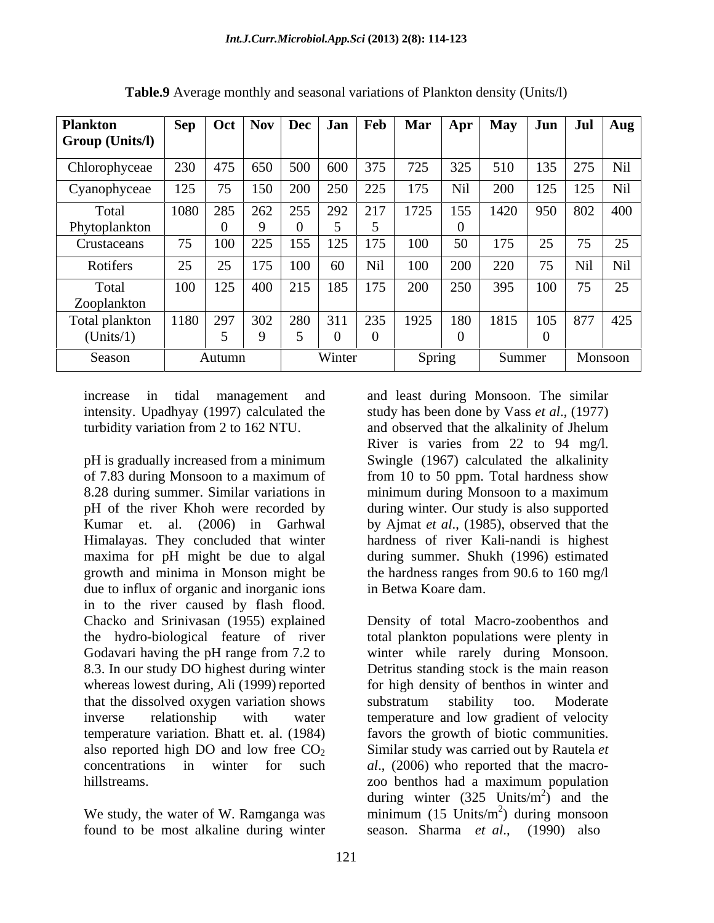| <b>Plankton</b><br><b>Group (Units/I)</b> |      | Sep   Oct | Nov               | Dec | Jan <sup>1</sup> | $\mathsf{Feb}$  | Mar  | Apr    | <b>May</b> | Jun            | Jul            | Aug        |
|-------------------------------------------|------|-----------|-------------------|-----|------------------|-----------------|------|--------|------------|----------------|----------------|------------|
| Chlorophyceae                             | 230  |           | $475 \,   \, 650$ |     |                  | 500   600   375 | 725  | 325    | 510        | 135            | 275            | Nil        |
| Cyanophyceae                              | 125  | 75        | 150               | 200 |                  | 250 225         | 175  | Nil    | 200        | 125            | 125            | Nil        |
| Total<br>Phytoplankton                    | 1080 | 285       | 262               | 255 |                  | 292 217         | 1725 | 155    | 1420       |                | 950 802        | 400        |
| Crustaceans                               | 75   | 100       | 225               | 155 | 125              | 175             | 100  |        | 175        | $\sim$ $-$     | 75             | 25         |
| Rotifers                                  | 25   | 25        | 175               | 100 | 60               | Nil             | 100  | 200    | 220        | $\overline{z}$ | Nil            | <b>Nil</b> |
| Total<br>Zooplankton                      | 100  | 125       | 400               | 215 | 185              | 175             | 200  | 250    | 395        | 100            | $\overline{z}$ | 25         |
| Total plankton<br>(Units/1)               |      | 1180 297  | 302               | 280 | 311              | 235             | 1925 | 180    | 1815       | $105$          | 1877           | 425        |
| Season                                    |      | Autumn    |                   |     | Winter           |                 |      | Spring | Summer     |                | Monsoon        |            |

**Table.9** Average monthly and seasonal variations of Plankton density (Units/l)

increase in tidal management and and least during Monsoon. The similar

pH is gradually increased from a minimum Swingle (1967) calculated the alkalinity of 7.83 during Monsoon to a maximum of 8.28 during summer. Similar variations in minimum during Monsoon to a maximum pH of the river Khoh were recorded by during winter. Our study is also supported Kumar et. al. (2006) in Garhwal by Ajmat *et al*., (1985), observed that the Himalayas. They concluded that winter hardness of river Kali-nandi is highest maxima for pH might be due to algal during summer. Shukh (1996) estimated growth and minima in Monson might be the hardness ranges from 90.6 to 160 mg/l due to influx of organic and inorganic ions in to the river caused by flash flood. Chacko and Srinivasan (1955) explained Density of total Macro-zoobenthos and the hydro-biological feature of river total plankton populations were plenty in Godavari having the pH range from 7.2 to winter while rarely during Monsoon. 8.3. In our study DO highest during winter Detritus standing stock is the main reason whereas lowest during, Ali (1999) reported for high density of benthos in winter and that the dissolved oxygen variation shows substratum stability too. Moderate inverse relationship with water temperature and low gradient of velocity temperature variation. Bhatt et. al. (1984) also reported high DO and low free  $CO<sub>2</sub>$  Similar study was carried out by Rautela *et* concentrations in winter for such *al*., (2006) who reported that the macro-

found to be most alkaline during winter

intensity. Upadhyay (1997) calculated the study has been done by Vass *et al*., (1977) turbidity variation from 2 to 162 NTU. and observed that the alkalinity of Jhelum River is varies from 22 to 94 mg/l. from 10 to 50 ppm. Total hardness show in Betwa Koare dam.

hillstreams. zoo benthos had a maximum population We study, the water of W. Ramganga was minimum  $(15 \text{ Units/m}^2)$  during monsoon winter while rarely during Monsoon. Detritus standing stock is the main reason substratum stability too. Moderate favors the growth of biotic communities. during winter  $(325 \text{ Units/m}^2)$  and the  $2\frac{1}{2}$  and the ) and the  $^{2}$ ) during mongoon ) during monsoon season. Sharma *et al*., (1990) also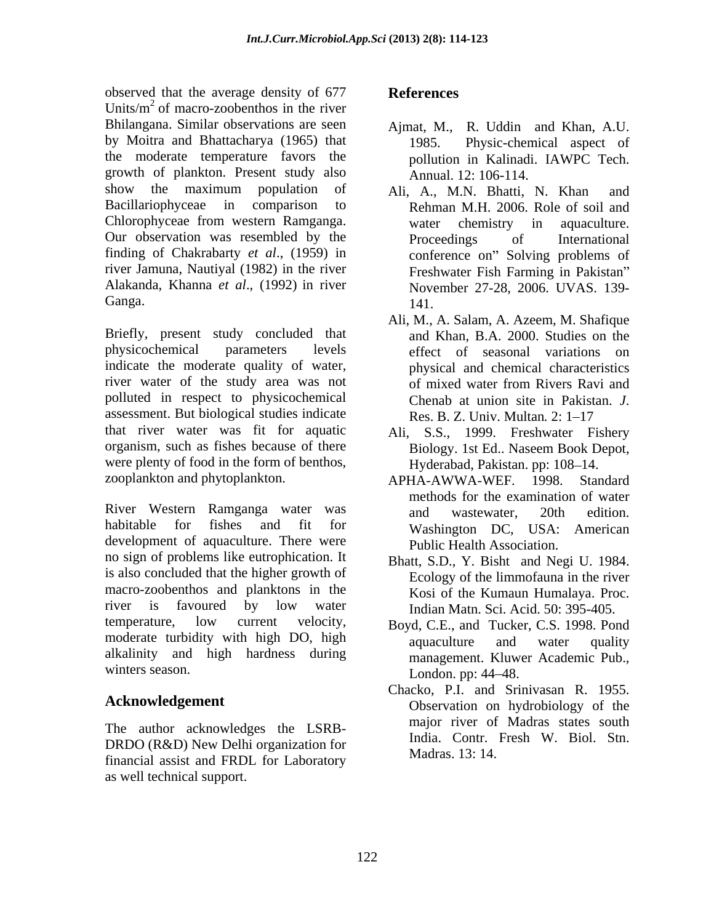observed that the average density of 677 References Units/ $m^2$  of macro-zoobenthos in the river Bhilangana. Similar observations are seen Ajmat, M., by Moitra and Bhattacharya (1965) that the moderate temperature favors the growth of plankton. Present study also show the maximum population of Ali, A., M.N. Bhatti, N. Khan and Bacillariophyceae in comparison to Rehman M.H. 2006. Role of soil and Chlorophyceae from western Ramganga. Our observation was resembled by the Proceedings of International finding of Chakrabarty *et al*., (1959) in river Jamuna, Nautiyal (1982) in the river Alakanda, Khanna *et al*., (1992) in river

Briefly, present study concluded that physicochemical parameters levels effect of seasonal variations on indicate the moderate quality of water, river water of the study area was not of mixed water from Rivers Ravi and polluted in respect to physicochemical Chenab at union site in Pakistan *J*. assessment. But biological studies indicate Res. B. Z. Univ. Multan. 2: 1-17 that river water was fit for aquatic Ali, S.S., 1999. Freshwater Fishery organism, such as fishes because of there Biology. 1st Ed.. Naseem Book Depot, were plenty of food in the form of benthos, zooplankton and phytoplankton. <br>APHA-AWWA-WEF. 1998. Standard

River Western Ramganga water was and wastewater, 20th edition. habitable for fishes and fit for **Washington DC** USA: American nabitable for fishes and fit for Washington DC,<br>development of aquaculture. There were public Health Assoc no sign of problems like eutrophication. It is also concluded that the higher growth of macro-zoobenthos and planktons in the river is favoured by low water Indian Matn Sci Acid 50:395-405 temperature, low current velocity, BoydCE and Tucker C.S. 1998 Pond moderate turbidity with high DO, high aquaculture and water quality alkalinity and high hardness during winters season. London. pp: 44–48.

The author acknowledges the LSRB- DRDO (R&D) New Delhi organization for financial assist and FRDL for Laboratory as well technical support.

## **References**

- R. Uddin and Khan, A.U. Physic-chemical aspect of pollution in Kalinadi. IAWPC Tech. Annual. 12: 106-114.
- Ganga. 141. Ali, A., M.N. Bhatti, N. Khan and water chemistry in aquaculture. Proceedings of International conference on" Solving problems of Freshwater Fish Farming in Pakistan November 27-28, 2006. UVAS. 139- 141.
	- Ali, M., A. Salam, A. Azeem, M. Shafique and Khan, B.A. 2000. Studies on the physical and chemical characteristics of mixed water from Rivers Ravi and Chenab at union site in Pakistan. *J*.<br>Res. B. Z. Univ. Multan. 2: 1–17
	- Biology. 1st Ed.. Naseem Book Depot, Hyderabad, Pakistan. pp: 108-14.
	- APHA-AWWA-WEF. 1998. Standard methods for the examination of water and wastewater, 20th edition. Washington DC, USA: American Public Health Association.
	- Bhatt, S.D., Y. Bisht and Negi U. 1984. Ecology of the limmofauna in the river Kosi of the Kumaun Humalaya. Proc. Indian Matn. Sci. Acid. 50: 395-405.
	- Boyd, C.E., and Tucker, C.S. 1998. Pond aquaculture and water quality management. Kluwer Academic Pub., London. pp: 44–48.
- Acknowledgement **Conservation** Observation on hydrobiology of the Chacko, P.I. and Srinivasan R. 1955. major river of Madras states south India. Contr. Fresh W. Biol. Stn. Madras. 13: 14.